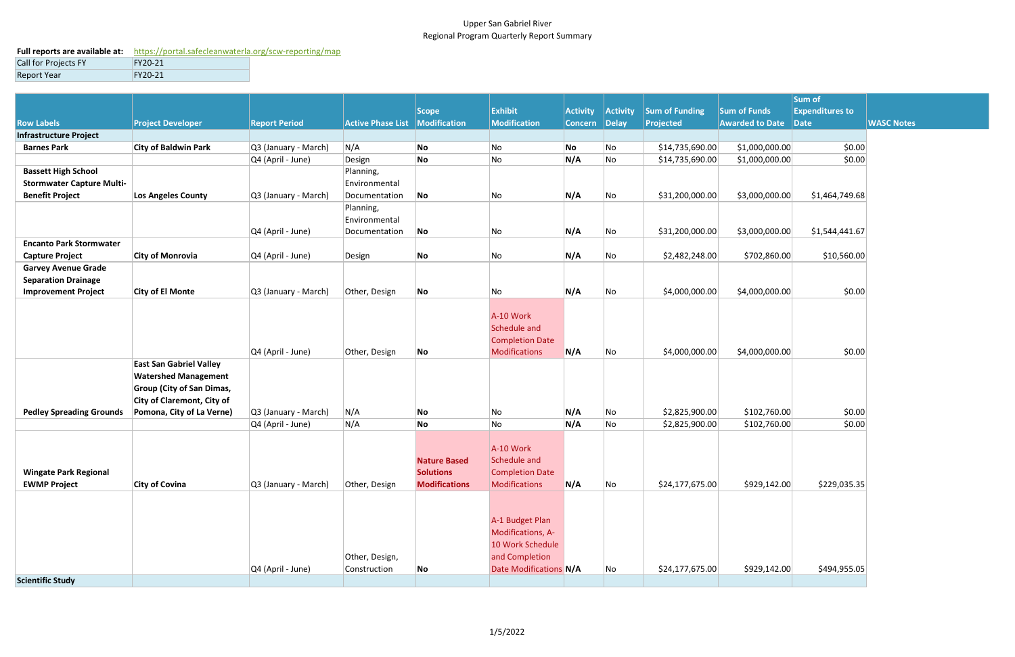## Upper San Gabriel River Regional Program Quarterly Report Summary

## **Full reports are available at:** <https://portal.safecleanwaterla.org/scw-reporting/map>

| Call for Projects FY | FY20-21 |
|----------------------|---------|
| Report Year          | FY20-21 |

|                                  |                                                                 |                      |                          |                      |                        |                 |          |                       |                        | Sum of                 |
|----------------------------------|-----------------------------------------------------------------|----------------------|--------------------------|----------------------|------------------------|-----------------|----------|-----------------------|------------------------|------------------------|
|                                  |                                                                 |                      |                          | Scope                | Exhibit                | <b>Activity</b> | Activity | <b>Sum of Funding</b> | <b>Sum of Funds</b>    | <b>Expenditures to</b> |
| <b>Row Labels</b>                | <b>Project Developer</b>                                        | <b>Report Period</b> | <b>Active Phase List</b> | Modification         | Modification           | Concern Delay   |          | Projected             | <b>Awarded to Date</b> | $\vert$ Date           |
| <b>Infrastructure Project</b>    |                                                                 |                      |                          |                      |                        |                 |          |                       |                        |                        |
| <b>Barnes Park</b>               | <b>City of Baldwin Park</b>                                     | Q3 (January - March) | N/A                      | No                   | No                     | No              | No       | \$14,735,690.00       | \$1,000,000.00         | \$0.00                 |
|                                  |                                                                 | Q4 (April - June)    | Design                   | No                   | No                     | N/A             | No       | \$14,735,690.00       | \$1,000,000.00         | \$0.00                 |
| <b>Bassett High School</b>       |                                                                 |                      | Planning,                |                      |                        |                 |          |                       |                        |                        |
| <b>Stormwater Capture Multi-</b> |                                                                 |                      | Environmental            |                      |                        |                 |          |                       |                        |                        |
| <b>Benefit Project</b>           | Los Angeles County                                              | Q3 (January - March) | Documentation            | No                   | No                     | N/A             | No       | \$31,200,000.00       | \$3,000,000.00         | \$1,464,749.68         |
|                                  |                                                                 |                      | Planning,                |                      |                        |                 |          |                       |                        |                        |
|                                  |                                                                 |                      | Environmental            |                      |                        |                 |          |                       |                        |                        |
|                                  |                                                                 | Q4 (April - June)    | Documentation            | No                   | No                     | N/A             | No       | \$31,200,000.00       | \$3,000,000.00         | \$1,544,441.67         |
| <b>Encanto Park Stormwater</b>   |                                                                 |                      |                          |                      |                        |                 |          |                       |                        |                        |
| <b>Capture Project</b>           | <b>City of Monrovia</b>                                         | Q4 (April - June)    | Design                   | No                   | No                     | N/A             | No       | \$2,482,248.00        | \$702,860.00           | \$10,560.00            |
| <b>Garvey Avenue Grade</b>       |                                                                 |                      |                          |                      |                        |                 |          |                       |                        |                        |
| <b>Separation Drainage</b>       |                                                                 |                      |                          |                      |                        |                 |          |                       |                        |                        |
| <b>Improvement Project</b>       | <b>City of El Monte</b>                                         | Q3 (January - March) | Other, Design            | No                   | No                     | N/A             | No       | \$4,000,000.00        | \$4,000,000.00]        | \$0.00                 |
|                                  |                                                                 |                      |                          |                      |                        |                 |          |                       |                        |                        |
|                                  |                                                                 |                      |                          |                      | A-10 Work              |                 |          |                       |                        |                        |
|                                  |                                                                 |                      |                          |                      | Schedule and           |                 |          |                       |                        |                        |
|                                  |                                                                 |                      |                          |                      | <b>Completion Date</b> |                 |          |                       |                        |                        |
|                                  |                                                                 | Q4 (April - June)    | Other, Design            | No                   | Modifications          | N/A             | No       | \$4,000,000.00        | \$4,000,000.00]        | \$0.00                 |
|                                  | <b>East San Gabriel Valley</b>                                  |                      |                          |                      |                        |                 |          |                       |                        |                        |
|                                  | <b>Watershed Management</b><br><b>Group (City of San Dimas,</b> |                      |                          |                      |                        |                 |          |                       |                        |                        |
|                                  | <b>City of Claremont, City of</b>                               |                      |                          |                      |                        |                 |          |                       |                        |                        |
| <b>Pedley Spreading Grounds</b>  | Pomona, City of La Verne)                                       | Q3 (January - March) | N/A                      | No                   | No                     | N/A             | No       | \$2,825,900.00        | \$102,760.00           | \$0.00                 |
|                                  |                                                                 | Q4 (April - June)    | N/A                      | No                   | No                     | N/A             | No       | \$2,825,900.00        | \$102,760.00           | \$0.00                 |
|                                  |                                                                 |                      |                          |                      |                        |                 |          |                       |                        |                        |
|                                  |                                                                 |                      |                          |                      | A-10 Work              |                 |          |                       |                        |                        |
|                                  |                                                                 |                      |                          | <b>Nature Based</b>  | Schedule and           |                 |          |                       |                        |                        |
| <b>Wingate Park Regional</b>     |                                                                 |                      |                          | <b>Solutions</b>     | Completion Date        |                 |          |                       |                        |                        |
| <b>EWMP Project</b>              | <b>City of Covina</b>                                           | Q3 (January - March) | Other, Design            | <b>Modifications</b> | Modifications          | N/A             | No       | \$24,177,675.00       | \$929,142.00           | \$229,035.35           |
|                                  |                                                                 |                      |                          |                      |                        |                 |          |                       |                        |                        |
|                                  |                                                                 |                      |                          |                      |                        |                 |          |                       |                        |                        |
|                                  |                                                                 |                      |                          |                      | A-1 Budget Plan        |                 |          |                       |                        |                        |
|                                  |                                                                 |                      |                          |                      | Modifications, A-      |                 |          |                       |                        |                        |
|                                  |                                                                 |                      |                          |                      | 10 Work Schedule       |                 |          |                       |                        |                        |
|                                  |                                                                 |                      | Other, Design,           |                      | and Completion         |                 |          |                       |                        |                        |
|                                  |                                                                 | Q4 (April - June)    | Construction             | No                   | Date Modifications N/A |                 | No       | \$24,177,675.00       | \$929,142.00           | \$494,955.05           |
| <b>Scientific Study</b>          |                                                                 |                      |                          |                      |                        |                 |          |                       |                        |                        |